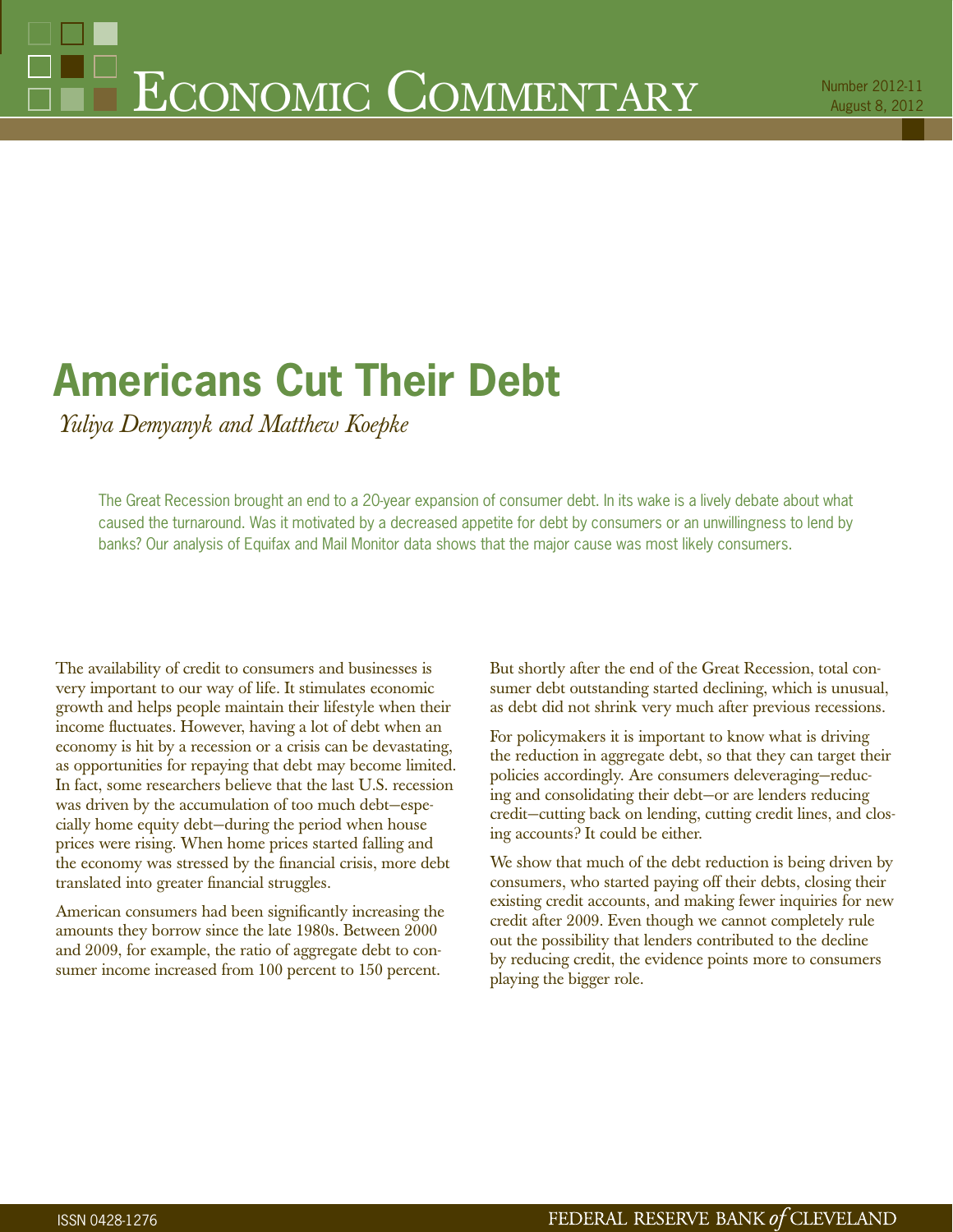# **Americans Cut Their Debt**

*Yuliya Demyanyk and Matthew Koepke*

The Great Recession brought an end to a 20-year expansion of consumer debt. In its wake is a lively debate about what caused the turnaround. Was it motivated by a decreased appetite for debt by consumers or an unwillingness to lend by banks? Our analysis of Equifax and Mail Monitor data shows that the major cause was most likely consumers.

The availability of credit to consumers and businesses is very important to our way of life. It stimulates economic growth and helps people maintain their lifestyle when their income fluctuates. However, having a lot of debt when an economy is hit by a recession or a crisis can be devastating, as opportunities for repaying that debt may become limited. In fact, some researchers believe that the last U.S. recession was driven by the accumulation of too much debt—especially home equity debt—during the period when house prices were rising. When home prices started falling and the economy was stressed by the financial crisis, more debt translated into greater financial struggles.

American consumers had been significantly increasing the amounts they borrow since the late 1980s. Between 2000 and 2009, for example, the ratio of aggregate debt to consumer income increased from 100 percent to 150 percent.

But shortly after the end of the Great Recession, total consumer debt outstanding started declining, which is unusual, as debt did not shrink very much after previous recessions.

For policymakers it is important to know what is driving the reduction in aggregate debt, so that they can target their policies accordingly. Are consumers deleveraging—reducing and consolidating their debt—or are lenders reducing credit—cutting back on lending, cutting credit lines, and closing accounts? It could be either.

We show that much of the debt reduction is being driven by consumers, who started paying off their debts, closing their existing credit accounts, and making fewer inquiries for new credit after 2009. Even though we cannot completely rule out the possibility that lenders contributed to the decline by reducing credit, the evidence points more to consumers playing the bigger role.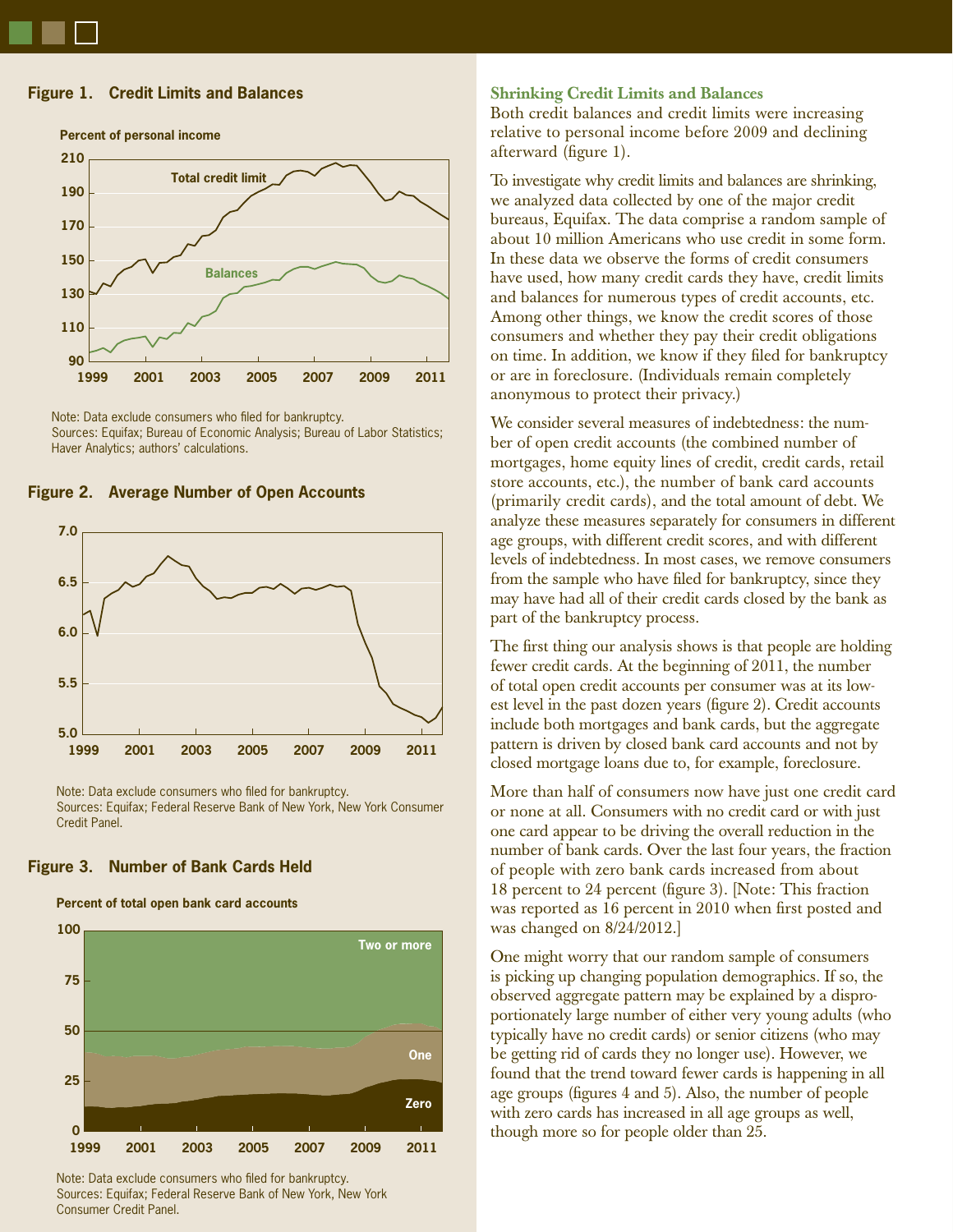# **Figure 1. Credit Limits and Balances**



**Percent of personal income**



**Figure 2. Average Number of Open Accounts**



Note: Data exclude consumers who filed for bankruptcy. Sources: Equifax; Federal Reserve Bank of New York, New York Consumer Credit Panel.

# **Figure 3. Number of Bank Cards Held**

#### **Percent of total open bank card accounts**



Note: Data exclude consumers who filed for bankruptcy. Sources: Equifax; Federal Reserve Bank of New York, New York Consumer Credit Panel.

#### **Shrinking Credit Limits and Balances**

Both credit balances and credit limits were increasing relative to personal income before 2009 and declining afterward (figure 1).

To investigate why credit limits and balances are shrinking, we analyzed data collected by one of the major credit bureaus, Equifax. The data comprise a random sample of about 10 million Americans who use credit in some form. In these data we observe the forms of credit consumers have used, how many credit cards they have, credit limits and balances for numerous types of credit accounts, etc. Among other things, we know the credit scores of those consumers and whether they pay their credit obligations on time. In addition, we know if they filed for bankruptcy or are in foreclosure. (Individuals remain completely anonymous to protect their privacy.)

We consider several measures of indebtedness: the number of open credit accounts (the combined number of mortgages, home equity lines of credit, credit cards, retail store accounts, etc.), the number of bank card accounts (primarily credit cards), and the total amount of debt. We analyze these measures separately for consumers in different age groups, with different credit scores, and with different levels of indebtedness. In most cases, we remove consumers from the sample who have filed for bankruptcy, since they may have had all of their credit cards closed by the bank as part of the bankruptcy process.

The first thing our analysis shows is that people are holding fewer credit cards. At the beginning of 2011, the number of total open credit accounts per consumer was at its lowest level in the past dozen years (figure 2). Credit accounts include both mortgages and bank cards, but the aggregate pattern is driven by closed bank card accounts and not by closed mortgage loans due to, for example, foreclosure.

More than half of consumers now have just one credit card or none at all. Consumers with no credit card or with just one card appear to be driving the overall reduction in the number of bank cards. Over the last four years, the fraction of people with zero bank cards increased from about 18 percent to 24 percent (figure 3). [Note: This fraction was reported as 16 percent in 2010 when first posted and was changed on 8/24/2012.]

One might worry that our random sample of consumers is picking up changing population demographics. If so, the observed aggregate pattern may be explained by a disproportionately large number of either very young adults (who typically have no credit cards) or senior citizens (who may be getting rid of cards they no longer use). However, we found that the trend toward fewer cards is happening in all age groups (figures 4 and 5). Also, the number of people with zero cards has increased in all age groups as well, though more so for people older than 25.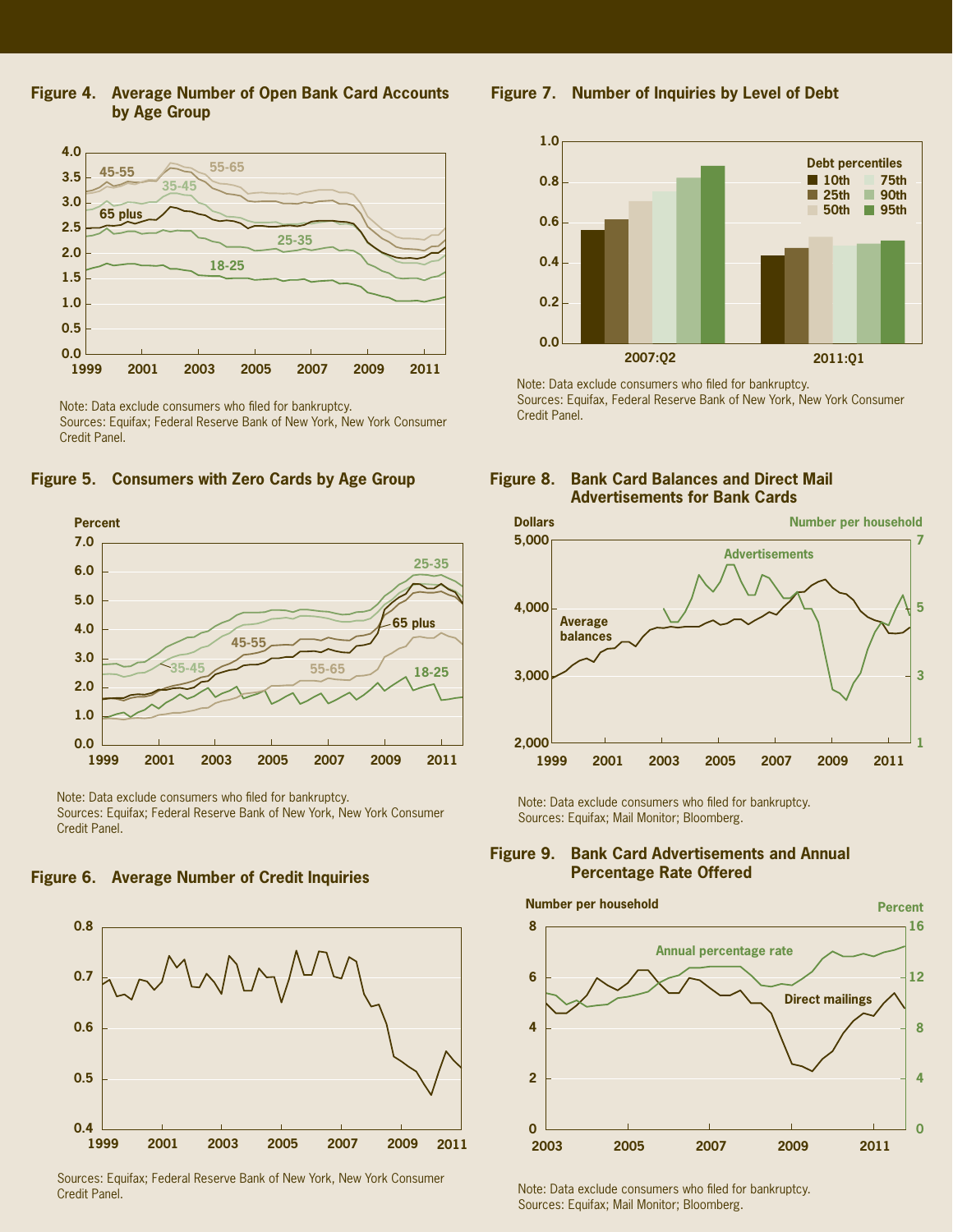**Figure 4. Average Number of Open Bank Card Accounts by Age Group**



Note: Data exclude consumers who filed for bankruptcy. Sources: Equifax; Federal Reserve Bank of New York, New York Consumer Credit Panel.





Note: Data exclude consumers who filed for bankruptcy. Sources: Equifax; Federal Reserve Bank of New York, New York Consumer Credit Panel.





Sources: Equifax; Federal Reserve Bank of New York, New York Consumer Credit Panel.

**Figure 7. Number of Inquiries by Level of Debt**



Note: Data exclude consumers who filed for bankruptcy. Sources: Equifax, Federal Reserve Bank of New York, New York Consumer Credit Panel.





Note: Data exclude consumers who filed for bankruptcy. Sources: Equifax; Mail Monitor; Bloomberg.

#### **Figure 9. Bank Card Advertisements and Annual Percentage Rate Offered**



Note: Data exclude consumers who filed for bankruptcy. Sources: Equifax; Mail Monitor; Bloomberg.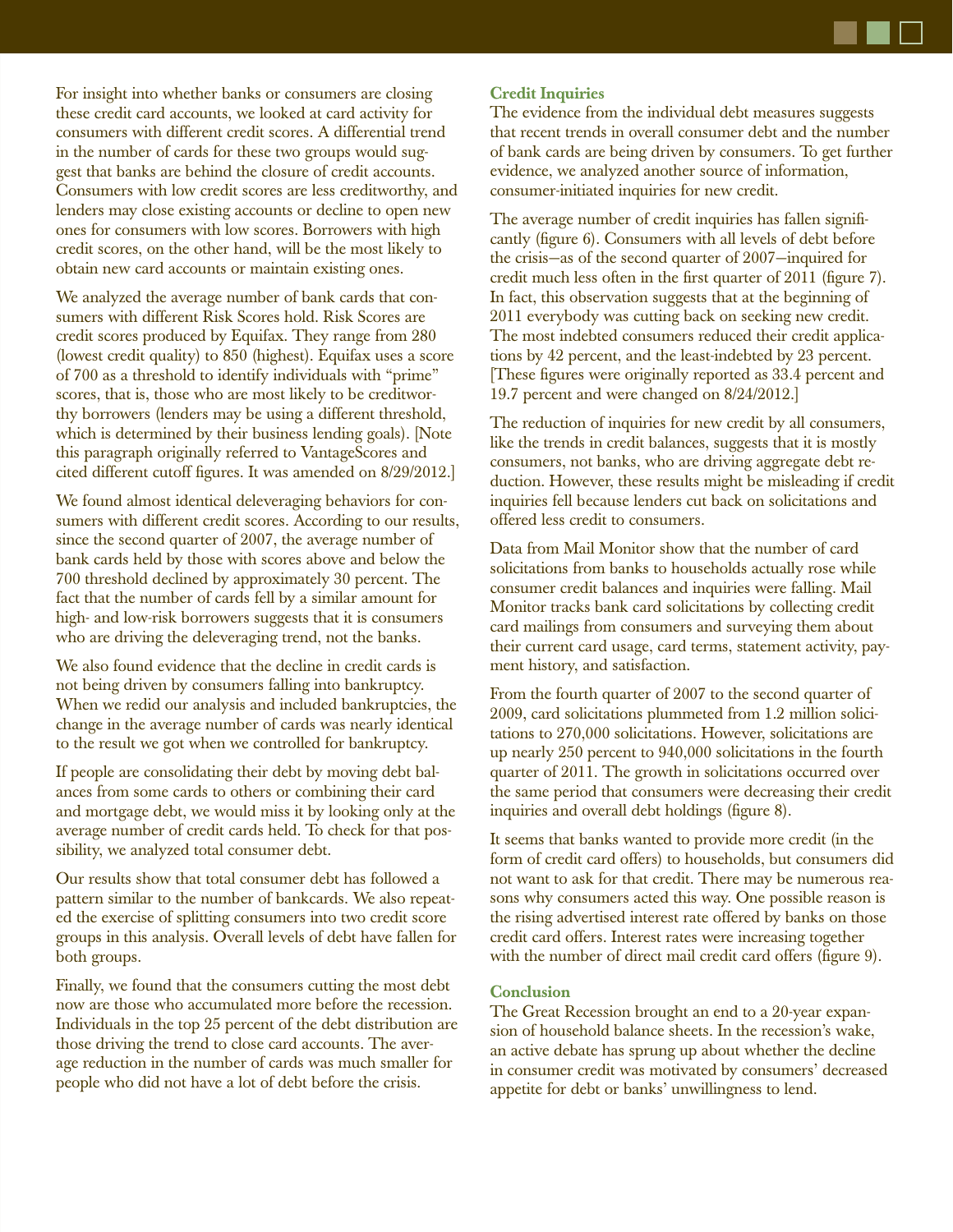For insight into whether banks or consumers are closing these credit card accounts, we looked at card activity for consumers with different credit scores. A differential trend in the number of cards for these two groups would suggest that banks are behind the closure of credit accounts. Consumers with low credit scores are less creditworthy, and lenders may close existing accounts or decline to open new ones for consumers with low scores. Borrowers with high credit scores, on the other hand, will be the most likely to obtain new card accounts or maintain existing ones.

We analyzed the average number of bank cards that consumers with different Risk Scores hold. Risk Scores are credit scores produced by Equifax. They range from 280 (lowest credit quality) to 850 (highest). Equifax uses a score of 700 as a threshold to identify individuals with "prime" scores, that is, those who are most likely to be creditworthy borrowers (lenders may be using a different threshold, which is determined by their business lending goals). [Note this paragraph originally referred to VantageScores and cited different cutoff figures. It was amended on 8/29/2012.]

We found almost identical deleveraging behaviors for consumers with different credit scores. According to our results, since the second quarter of 2007, the average number of bank cards held by those with scores above and below the 700 threshold declined by approximately 30 percent. The fact that the number of cards fell by a similar amount for high- and low-risk borrowers suggests that it is consumers who are driving the deleveraging trend, not the banks.

We also found evidence that the decline in credit cards is not being driven by consumers falling into bankruptcy. When we redid our analysis and included bankruptcies, the change in the average number of cards was nearly identical to the result we got when we controlled for bankruptcy.

If people are consolidating their debt by moving debt balances from some cards to others or combining their card and mortgage debt, we would miss it by looking only at the average number of credit cards held. To check for that possibility, we analyzed total consumer debt.

Our results show that total consumer debt has followed a pattern similar to the number of bankcards. We also repeated the exercise of splitting consumers into two credit score groups in this analysis. Overall levels of debt have fallen for both groups.

Finally, we found that the consumers cutting the most debt now are those who accumulated more before the recession. Individuals in the top 25 percent of the debt distribution are those driving the trend to close card accounts. The average reduction in the number of cards was much smaller for people who did not have a lot of debt before the crisis.

### **Credit Inquiries**

The evidence from the individual debt measures suggests that recent trends in overall consumer debt and the number of bank cards are being driven by consumers. To get further evidence, we analyzed another source of information, consumer-initiated inquiries for new credit.

The average number of credit inquiries has fallen significantly (figure 6). Consumers with all levels of debt before the crisis—as of the second quarter of 2007—inquired for credit much less often in the first quarter of 2011 (figure 7). In fact, this observation suggests that at the beginning of 2011 everybody was cutting back on seeking new credit. The most indebted consumers reduced their credit applications by 42 percent, and the least-indebted by 23 percent. [These figures were originally reported as 33.4 percent and 19.7 percent and were changed on 8/24/2012.]

The reduction of inquiries for new credit by all consumers, like the trends in credit balances, suggests that it is mostly consumers, not banks, who are driving aggregate debt reduction. However, these results might be misleading if credit inquiries fell because lenders cut back on solicitations and offered less credit to consumers.

Data from Mail Monitor show that the number of card solicitations from banks to households actually rose while consumer credit balances and inquiries were falling. Mail Monitor tracks bank card solicitations by collecting credit card mailings from consumers and surveying them about their current card usage, card terms, statement activity, payment history, and satisfaction.

From the fourth quarter of 2007 to the second quarter of 2009, card solicitations plummeted from 1.2 million solicitations to 270,000 solicitations. However, solicitations are up nearly 250 percent to 940,000 solicitations in the fourth quarter of 2011. The growth in solicitations occurred over the same period that consumers were decreasing their credit inquiries and overall debt holdings (figure 8).

It seems that banks wanted to provide more credit (in the form of credit card offers) to households, but consumers did not want to ask for that credit. There may be numerous reasons why consumers acted this way. One possible reason is the rising advertised interest rate offered by banks on those credit card offers. Interest rates were increasing together with the number of direct mail credit card offers (figure 9).

#### **Conclusion**

The Great Recession brought an end to a 20-year expansion of household balance sheets. In the recession's wake, an active debate has sprung up about whether the decline in consumer credit was motivated by consumers' decreased appetite for debt or banks' unwillingness to lend.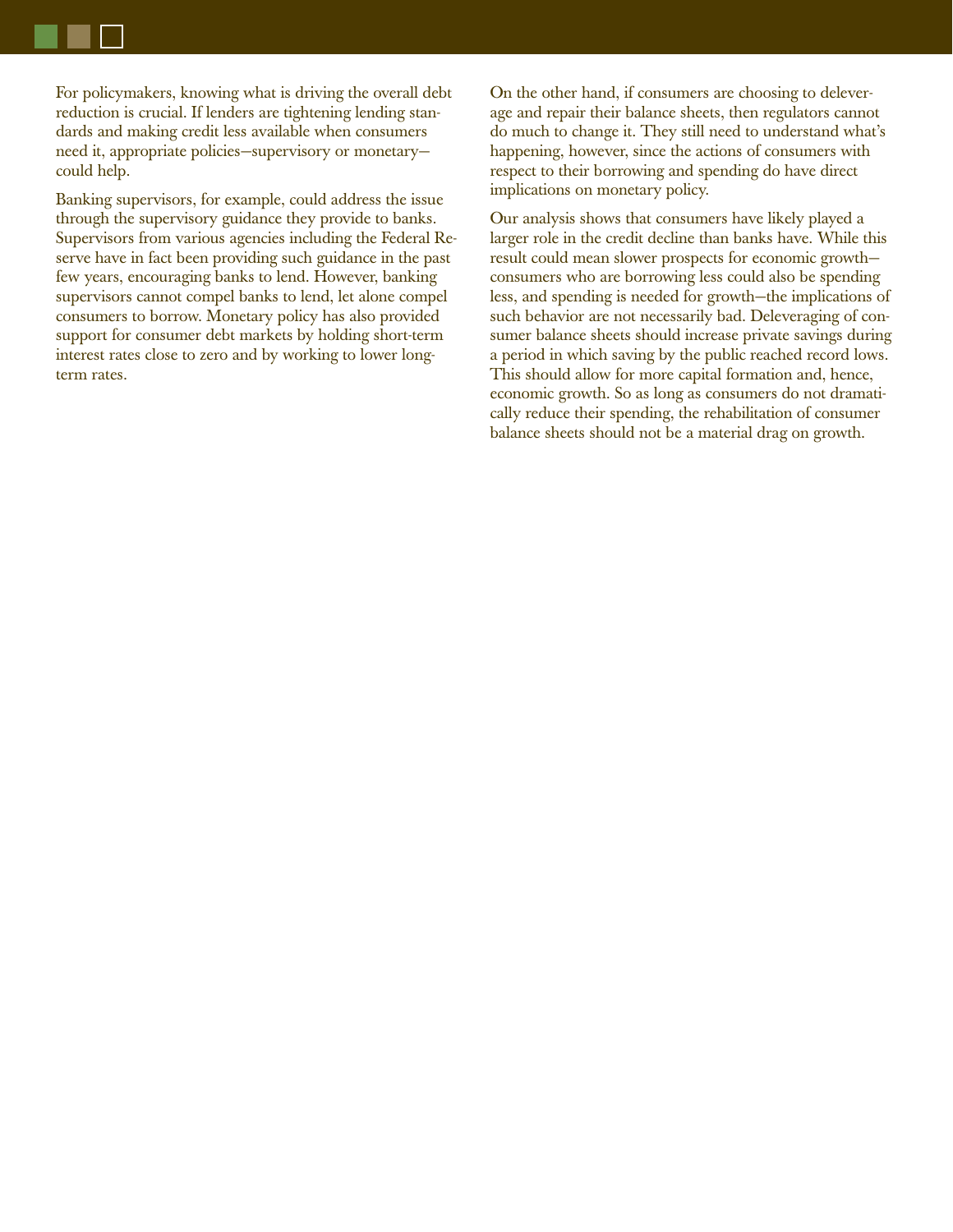For policymakers, knowing what is driving the overall debt reduction is crucial. If lenders are tightening lending standards and making credit less available when consumers need it, appropriate policies—supervisory or monetary could help.

Banking supervisors, for example, could address the issue through the supervisory guidance they provide to banks. Supervisors from various agencies including the Federal Reserve have in fact been providing such guidance in the past few years, encouraging banks to lend. However, banking supervisors cannot compel banks to lend, let alone compel consumers to borrow. Monetary policy has also provided support for consumer debt markets by holding short-term interest rates close to zero and by working to lower longterm rates.

On the other hand, if consumers are choosing to deleverage and repair their balance sheets, then regulators cannot do much to change it. They still need to understand what's happening, however, since the actions of consumers with respect to their borrowing and spending do have direct implications on monetary policy.

Our analysis shows that consumers have likely played a larger role in the credit decline than banks have. While this result could mean slower prospects for economic growth consumers who are borrowing less could also be spending less, and spending is needed for growth—the implications of such behavior are not necessarily bad. Deleveraging of consumer balance sheets should increase private savings during a period in which saving by the public reached record lows. This should allow for more capital formation and, hence, economic growth. So as long as consumers do not dramatically reduce their spending, the rehabilitation of consumer balance sheets should not be a material drag on growth.